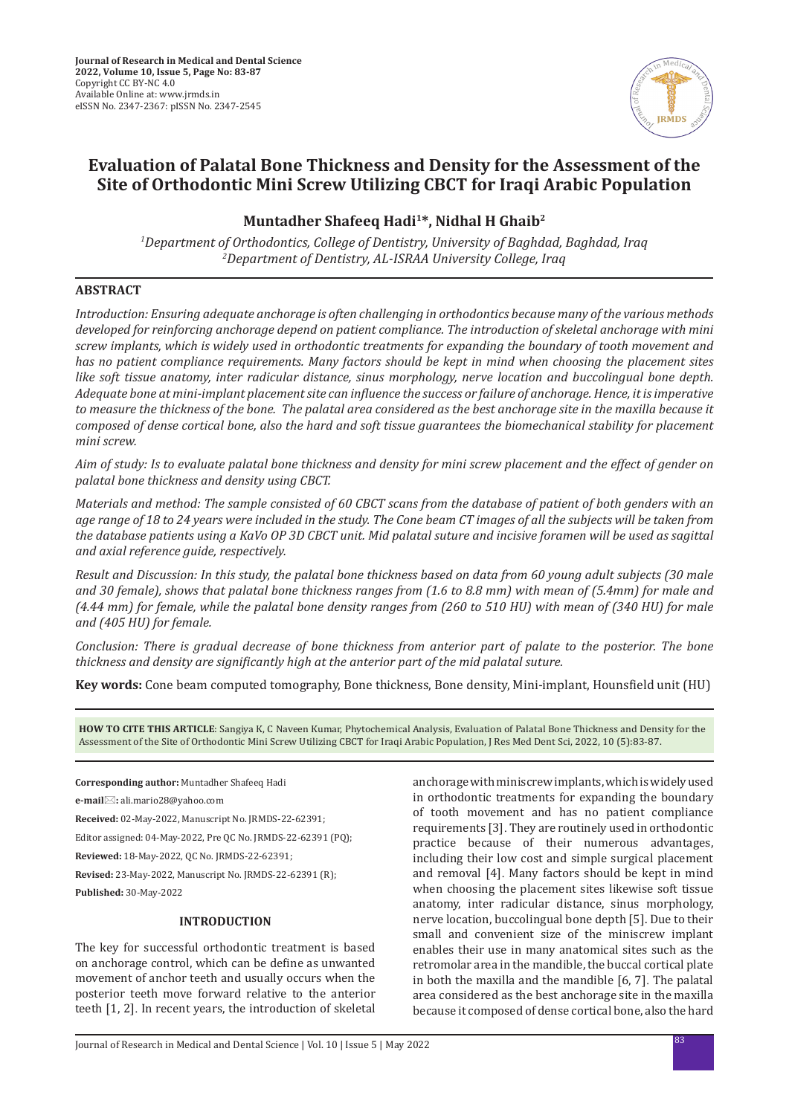

# **Evaluation of Palatal Bone Thickness and Density for the Assessment of the Site of Orthodontic Mini Screw Utilizing CBCT for Iraqi Arabic Population**

# **Muntadher Shafeeq Hadi1\*, Nidhal H Ghaib2**

*1 Department of Orthodontics, College of Dentistry, University of Baghdad, Baghdad, Iraq 2 Department of Dentistry, AL-ISRAA University College, Iraq*

### **ABSTRACT**

*Introduction: Ensuring adequate anchorage is often challenging in orthodontics because many of the various methods developed for reinforcing anchorage depend on patient compliance. The introduction of skeletal anchorage with mini screw implants, which is widely used in orthodontic treatments for expanding the boundary of tooth movement and has no patient compliance requirements. Many factors should be kept in mind when choosing the placement sites like soft tissue anatomy, inter radicular distance, sinus morphology, nerve location and buccolingual bone depth. Adequate bone at mini-implant placement site can influence the success or failure of anchorage. Hence, it is imperative to measure the thickness of the bone. The palatal area considered as the best anchorage site in the maxilla because it composed of dense cortical bone, also the hard and soft tissue guarantees the biomechanical stability for placement mini screw.*

*Aim of study: Is to evaluate palatal bone thickness and density for mini screw placement and the effect of gender on palatal bone thickness and density using CBCT.*

*Materials and method: The sample consisted of 60 CBCT scans from the database of patient of both genders with an age range of 18 to 24 years were included in the study. The Cone beam CT images of all the subjects will be taken from the database patients using a KaVo OP 3D CBCT unit. Mid palatal suture and incisive foramen will be used as sagittal and axial reference guide, respectively.*

*Result and Discussion: In this study, the palatal bone thickness based on data from 60 young adult subjects (30 male and 30 female), shows that palatal bone thickness ranges from (1.6 to 8.8 mm) with mean of (5.4mm) for male and (4.44 mm) for female, while the palatal bone density ranges from (260 to 510 HU) with mean of (340 HU) for male and (405 HU) for female.* 

*Conclusion: There is gradual decrease of bone thickness from anterior part of palate to the posterior. The bone thickness and density are significantly high at the anterior part of the mid palatal suture.*

**Key words:** Cone beam computed tomography, Bone thickness, Bone density, Mini-implant, Hounsfield unit (HU)

**HOW TO CITE THIS ARTICLE**: Sangiya K, C Naveen Kumar, Phytochemical Analysis, Evaluation of Palatal Bone Thickness and Density for the Assessment of the Site of Orthodontic Mini Screw Utilizing CBCT for Iraqi Arabic Population, J Res Med Dent Sci, 2022, 10 (5):83-87.

**Corresponding author:** Muntadher Shafeeq Hadi

**e-mail:** ali.mario28@yahoo.com

**Received:** 02-May-2022, Manuscript No. JRMDS-22-62391;

Editor assigned: 04-May-2022, Pre QC No. JRMDS-22-62391 (PQ);

**Reviewed:** 18-May-2022, QC No. JRMDS-22-62391;

**Revised:** 23-May-2022, Manuscript No. JRMDS-22-62391 (R);

**Published:** 30-May-2022

## **INTRODUCTION**

The key for successful orthodontic treatment is based on anchorage control, which can be define as unwanted movement of anchor teeth and usually occurs when the posterior teeth move forward relative to the anterior teeth [1, 2]. In recent years, the introduction of skeletal anchorage with miniscrew implants, which is widely used in orthodontic treatments for expanding the boundary of tooth movement and has no patient compliance requirements [3]. They are routinely used in orthodontic practice because of their numerous advantages, including their low cost and simple surgical placement and removal [4]. Many factors should be kept in mind when choosing the placement sites likewise soft tissue anatomy, inter radicular distance, sinus morphology, nerve location, buccolingual bone depth [5]. Due to their small and convenient size of the miniscrew implant enables their use in many anatomical sites such as the retromolar area in the mandible, the buccal cortical plate in both the maxilla and the mandible [6, 7]. The palatal area considered as the best anchorage site in the maxilla because it composed of dense cortical bone, also the hard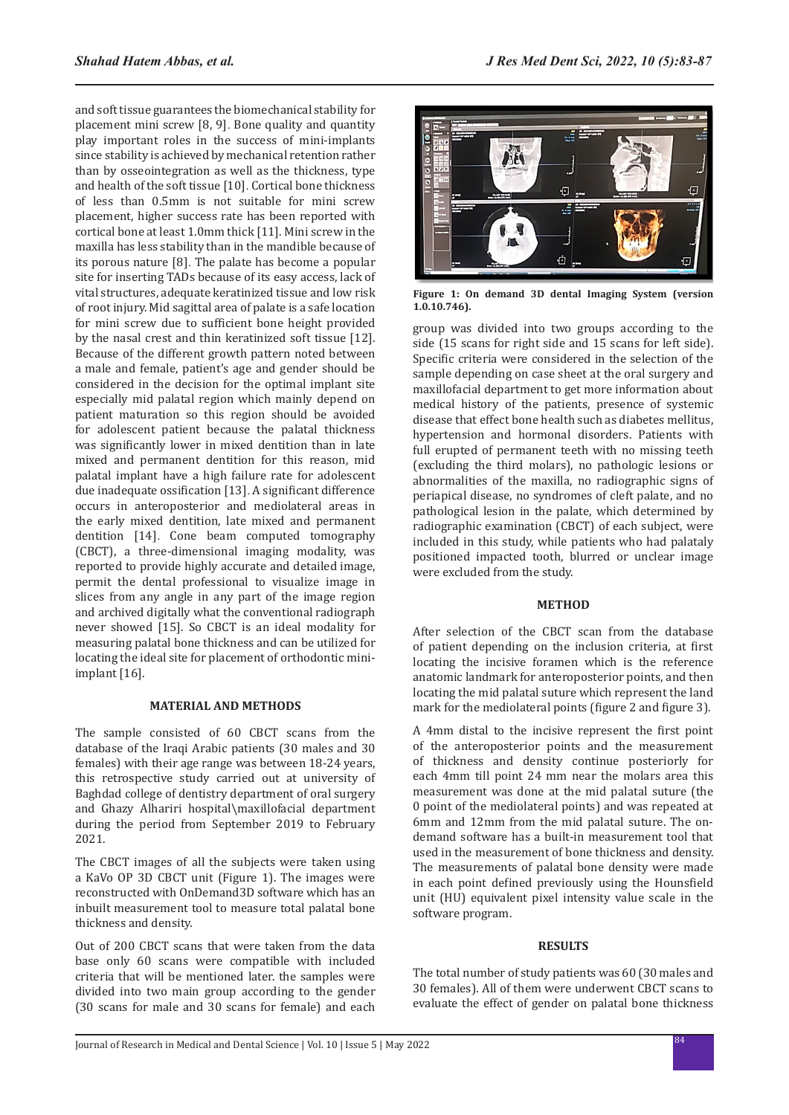and soft tissue guarantees the biomechanical stability for placement mini screw [8, 9]. Bone quality and quantity play important roles in the success of mini-implants since stability is achieved by mechanical retention rather than by osseointegration as well as the thickness, type and health of the soft tissue [10]. Cortical bone thickness of less than 0.5mm is not suitable for mini screw placement, higher success rate has been reported with cortical bone at least 1.0mm thick [11]. Mini screw in the maxilla has less stability than in the mandible because of its porous nature [8]. The palate has become a popular site for inserting TADs because of its easy access, lack of vital structures, adequate keratinized tissue and low risk of root injury. Mid sagittal area of palate is a safe location for mini screw due to sufficient bone height provided by the nasal crest and thin keratinized soft tissue [12]. Because of the different growth pattern noted between a male and female, patient's age and gender should be considered in the decision for the optimal implant site especially mid palatal region which mainly depend on patient maturation so this region should be avoided for adolescent patient because the palatal thickness was significantly lower in mixed dentition than in late mixed and permanent dentition for this reason, mid palatal implant have a high failure rate for adolescent due inadequate ossification [13]. A significant difference occurs in anteroposterior and mediolateral areas in the early mixed dentition, late mixed and permanent dentition [14]. Cone beam computed tomography (CBCT), a three-dimensional imaging modality, was reported to provide highly accurate and detailed image, permit the dental professional to visualize image in slices from any angle in any part of the image region and archived digitally what the conventional radiograph never showed [15]. So CBCT is an ideal modality for measuring palatal bone thickness and can be utilized for locating the ideal site for placement of orthodontic miniimplant [16].

#### **MATERIAL AND METHODS**

The sample consisted of 60 CBCT scans from the database of the Iraqi Arabic patients (30 males and 30 females) with their age range was between 18-24 years, this retrospective study carried out at university of Baghdad college of dentistry department of oral surgery and Ghazy Alhariri hospital\maxillofacial department during the period from September 2019 to February 2021.

The CBCT images of all the subjects were taken using a KaVo OP 3D CBCT unit (Figure 1). The images were reconstructed with OnDemand3D software which has an inbuilt measurement tool to measure total palatal bone thickness and density.

Out of 200 CBCT scans that were taken from the data base only 60 scans were compatible with included criteria that will be mentioned later. the samples were divided into two main group according to the gender (30 scans for male and 30 scans for female) and each



**Figure 1: On demand 3D dental Imaging System (version 1.0.10.746).**

group was divided into two groups according to the side (15 scans for right side and 15 scans for left side). Specific criteria were considered in the selection of the sample depending on case sheet at the oral surgery and maxillofacial department to get more information about medical history of the patients, presence of systemic disease that effect bone health such as diabetes mellitus, hypertension and hormonal disorders. Patients with full erupted of permanent teeth with no missing teeth (excluding the third molars), no pathologic lesions or abnormalities of the maxilla, no radiographic signs of periapical disease, no syndromes of cleft palate, and no pathological lesion in the palate, which determined by radiographic examination (CBCT) of each subject, were included in this study, while patients who had palataly positioned impacted tooth, blurred or unclear image were excluded from the study.

#### **METHOD**

After selection of the CBCT scan from the database of patient depending on the inclusion criteria, at first locating the incisive foramen which is the reference anatomic landmark for anteroposterior points, and then locating the mid palatal suture which represent the land mark for the mediolateral points (figure 2 and figure 3).

A 4mm distal to the incisive represent the first point of the anteroposterior points and the measurement of thickness and density continue posteriorly for each 4mm till point 24 mm near the molars area this measurement was done at the mid palatal suture (the 0 point of the mediolateral points) and was repeated at 6mm and 12mm from the mid palatal suture. The ondemand software has a built-in measurement tool that used in the measurement of bone thickness and density. The measurements of palatal bone density were made in each point defined previously using the Hounsfield unit (HU) equivalent pixel intensity value scale in the software program.

### **RESULTS**

The total number of study patients was 60 (30 males and 30 females). All of them were underwent CBCT scans to evaluate the effect of gender on palatal bone thickness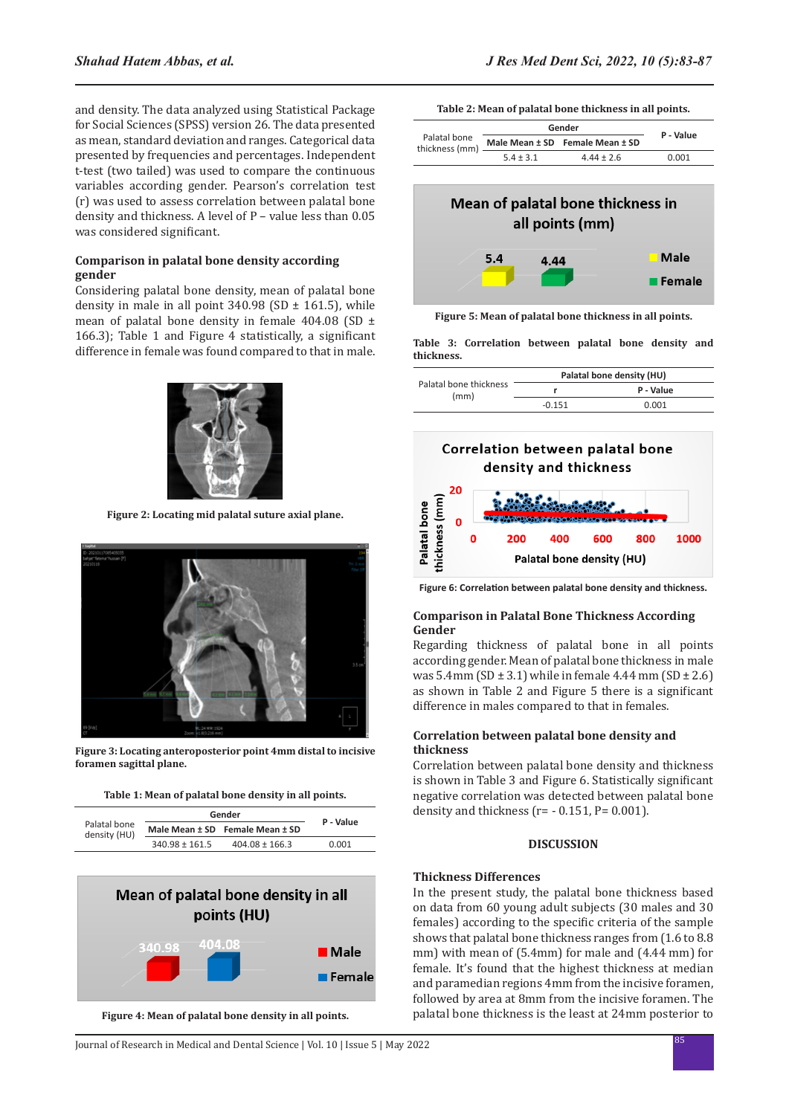and density. The data analyzed using Statistical Package for Social Sciences (SPSS) version 26. The data presented as mean, standard deviation and ranges. Categorical data presented by frequencies and percentages. Independent t-test (two tailed) was used to compare the continuous variables according gender. Pearson's correlation test (r) was used to assess correlation between palatal bone density and thickness. A level of P – value less than 0.05 was considered significant.

#### **Comparison in palatal bone density according gender**

Considering palatal bone density, mean of palatal bone density in male in all point  $340.98$  (SD  $\pm$  161.5), while mean of palatal bone density in female 404.08 (SD ± 166.3); Table 1 and Figure 4 statistically, a significant difference in female was found compared to that in male.



**Figure 2: Locating mid palatal suture axial plane.**



**Figure 3: Locating anteroposterior point 4mm distal to incisive foramen sagittal plane.**

|  |  |  |  |  |  | Table 1: Mean of palatal bone density in all points. |  |  |  |
|--|--|--|--|--|--|------------------------------------------------------|--|--|--|
|--|--|--|--|--|--|------------------------------------------------------|--|--|--|

|                    | P - Value          |                                           |
|--------------------|--------------------|-------------------------------------------|
|                    |                    |                                           |
| $340.98 \pm 161.5$ | $404.08 \pm 166.3$ | 0.001                                     |
|                    |                    | Gender<br>Male Mean ± SD Female Mean ± SD |



**Figure 4: Mean of palatal bone density in all points.**

|  | Table 2: Mean of palatal bone thickness in all points. |  |  |  |
|--|--------------------------------------------------------|--|--|--|
|--|--------------------------------------------------------|--|--|--|

|                                |               | Gender                          |           |
|--------------------------------|---------------|---------------------------------|-----------|
| Palatal bone<br>thickness (mm) |               | Male Mean ± SD Female Mean ± SD | P - Value |
|                                | $5.4 \pm 3.1$ | $4.44 \pm 2.6$                  | 0.001     |



**Figure 5: Mean of palatal bone thickness in all points.**

**Table 3: Correlation between palatal bone density and thickness.**

|                                | Palatal bone density (HU) |           |  |
|--------------------------------|---------------------------|-----------|--|
| Palatal bone thickness<br>(mm) |                           | P - Value |  |
|                                | $-0.151$                  | 0.001     |  |



**Figure 6: Correlation between palatal bone density and thickness.**

#### **Comparison in Palatal Bone Thickness According Gender**

Regarding thickness of palatal bone in all points according gender. Mean of palatal bone thickness in male was 5.4mm (SD  $\pm$  3.1) while in female 4.44 mm (SD  $\pm$  2.6) as shown in Table 2 and Figure 5 there is a significant difference in males compared to that in females.

#### **Correlation between palatal bone density and thickness**

Correlation between palatal bone density and thickness is shown in Table 3 and Figure 6. Statistically significant negative correlation was detected between palatal bone density and thickness  $(r = -0.151, P = 0.001)$ .

#### **DISCUSSION**

#### **Thickness Differences**

In the present study, the palatal bone thickness based on data from 60 young adult subjects (30 males and 30 females) according to the specific criteria of the sample shows that palatal bone thickness ranges from (1.6 to 8.8 mm) with mean of (5.4mm) for male and (4.44 mm) for female. It's found that the highest thickness at median and paramedian regions 4mm from the incisive foramen, followed by area at 8mm from the incisive foramen. The palatal bone thickness is the least at 24mm posterior to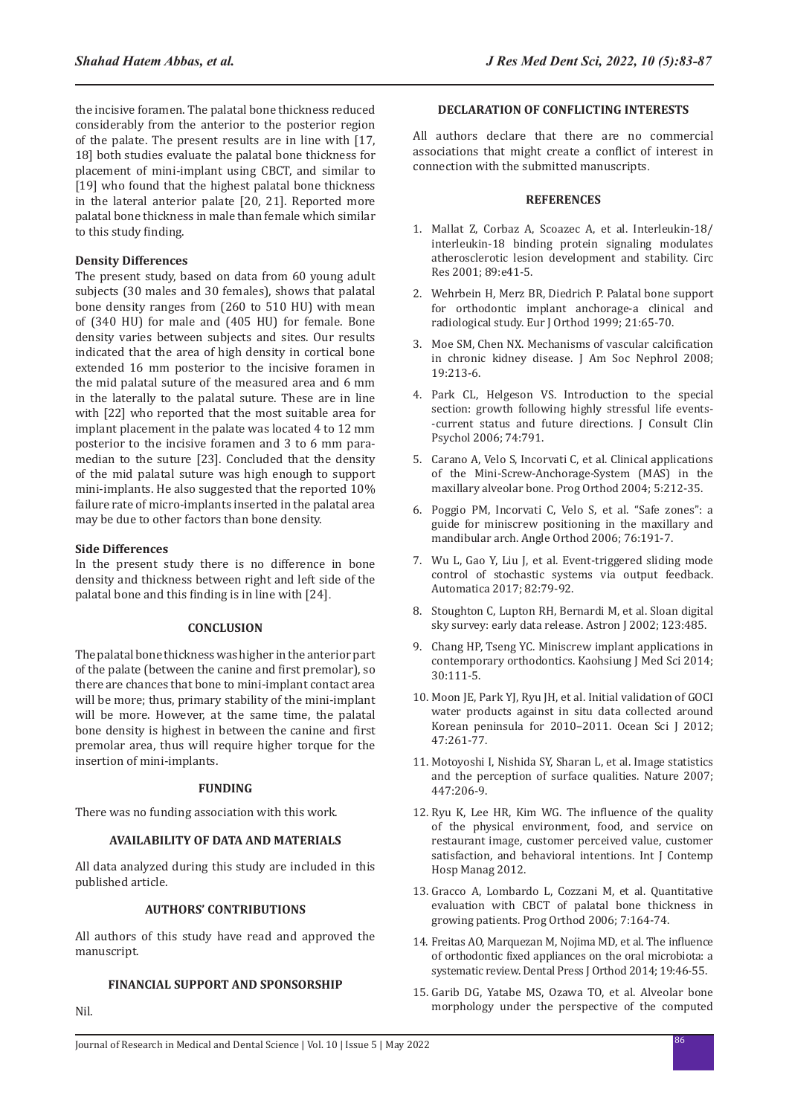the incisive foramen. The palatal bone thickness reduced considerably from the anterior to the posterior region of the palate. The present results are in line with [17, 18] both studies evaluate the palatal bone thickness for placement of mini-implant using CBCT, and similar to [19] who found that the highest palatal bone thickness in the lateral anterior palate [20, 21]. Reported more palatal bone thickness in male than female which similar to this study finding.

## **Density Differences**

The present study, based on data from 60 young adult subjects (30 males and 30 females), shows that palatal bone density ranges from (260 to 510 HU) with mean of (340 HU) for male and (405 HU) for female. Bone density varies between subjects and sites. Our results indicated that the area of high density in cortical bone extended 16 mm posterior to the incisive foramen in the mid palatal suture of the measured area and 6 mm in the laterally to the palatal suture. These are in line with [22] who reported that the most suitable area for implant placement in the palate was located 4 to 12 mm posterior to the incisive foramen and 3 to 6 mm paramedian to the suture [23]. Concluded that the density of the mid palatal suture was high enough to support mini-implants. He also suggested that the reported 10% failure rate of micro-implants inserted in the palatal area may be due to other factors than bone density.

### **Side Differences**

Nil.

In the present study there is no difference in bone density and thickness between right and left side of the palatal bone and this finding is in line with [24].

### **CONCLUSION**

The palatal bone thickness was higher in the anterior part of the palate (between the canine and first premolar), so there are chances that bone to mini-implant contact area will be more; thus, primary stability of the mini-implant will be more. However, at the same time, the palatal bone density is highest in between the canine and first premolar area, thus will require higher torque for the insertion of mini-implants.

### **FUNDING**

There was no funding association with this work.

### **AVAILABILITY OF DATA AND MATERIALS**

All data analyzed during this study are included in this published article.

### **AUTHORS' CONTRIBUTIONS**

All authors of this study have read and approved the manuscript.

### **FINANCIAL SUPPORT AND SPONSORSHIP**

# **DECLARATION OF CONFLICTING INTERESTS**

All authors declare that there are no commercial associations that might create a conflict of interest in connection with the submitted manuscripts.

#### **REFERENCES**

- 1. Mallat Z, Corbaz A, Scoazec A, et al. Interleukin-18/ interleukin-18 binding protein signaling modulates atherosclerotic lesion development and stability. Circ Res 2001; 89:e41-5.
- 2. Wehrbein H, Merz BR, Diedrich P. Palatal bone support for orthodontic implant anchorage-a clinical and radiological study. Eur J Orthod 1999; 21:65-70.
- 3. Moe SM, Chen NX. Mechanisms of vascular calcification in chronic kidney disease. J Am Soc Nephrol 2008; 19:213-6.
- 4. Park CL, Helgeson VS. Introduction to the special section: growth following highly stressful life events- -current status and future directions. J Consult Clin Psychol 2006; 74:791.
- 5. Carano A, Velo S, Incorvati C, et al. Clinical applications of the Mini-Screw-Anchorage-System (MAS) in the maxillary alveolar bone. Prog Orthod 2004; 5:212-35.
- 6. Poggio PM, Incorvati C, Velo S, et al. "Safe zones": a guide for miniscrew positioning in the maxillary and mandibular arch. Angle Orthod 2006; 76:191-7.
- 7. Wu L, Gao Y, Liu J, et al. Event-triggered sliding mode control of stochastic systems via output feedback. Automatica 2017; 82:79-92.
- 8. Stoughton C, Lupton RH, Bernardi M, et al. Sloan digital sky survey: early data release. Astron J 2002; 123:485.
- 9. Chang HP, Tseng YC. Miniscrew implant applications in contemporary orthodontics. Kaohsiung J Med Sci 2014; 30:111-5.
- 10. Moon JE, Park YJ, Ryu JH, et al. Initial validation of GOCI water products against in situ data collected around Korean peninsula for 2010–2011. Ocean Sci J 2012; 47:261-77.
- 11. Motoyoshi I, Nishida SY, Sharan L, et al. Image statistics and the perception of surface qualities. Nature 2007; 447:206-9.
- 12. Ryu K, Lee HR, Kim WG. The influence of the quality of the physical environment, food, and service on restaurant image, customer perceived value, customer satisfaction, and behavioral intentions. Int J Contemp Hosp Manag 2012.
- 13. Gracco A, Lombardo L, Cozzani M, et al. Quantitative evaluation with CBCT of palatal bone thickness in growing patients. Prog Orthod 2006; 7:164-74.
- 14. Freitas AO, Marquezan M, Nojima MD, et al. The influence of orthodontic fixed appliances on the oral microbiota: a systematic review. Dental Press J Orthod 2014; 19:46-55.
- 15. Garib DG, Yatabe MS, Ozawa TO, et al. Alveolar bone morphology under the perspective of the computed